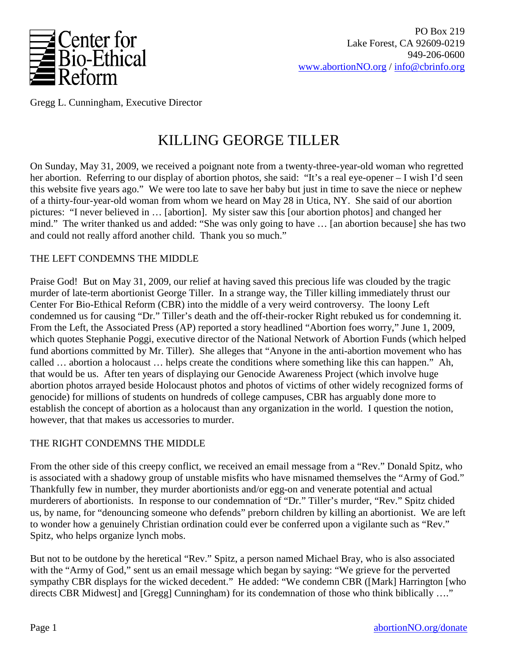

Gregg L. Cunningham, Executive Director

# KILLING GEORGE TILLER

On Sunday, May 31, 2009, we received a poignant note from a twenty-three-year-old woman who regretted her abortion. Referring to our display of abortion photos, she said: "It's a real eye-opener – I wish I'd seen this website five years ago." We were too late to save her baby but just in time to save the niece or nephew of a thirty-four-year-old woman from whom we heard on May 28 in Utica, NY. She said of our abortion pictures: "I never believed in … [abortion]. My sister saw this [our abortion photos] and changed her mind." The writer thanked us and added: "She was only going to have … [an abortion because] she has two and could not really afford another child. Thank you so much."

## THE LEFT CONDEMNS THE MIDDLE

Praise God! But on May 31, 2009, our relief at having saved this precious life was clouded by the tragic murder of late-term abortionist George Tiller. In a strange way, the Tiller killing immediately thrust our Center For Bio-Ethical Reform (CBR) into the middle of a very weird controversy. The loony Left condemned us for causing "Dr." Tiller's death and the off-their-rocker Right rebuked us for condemning it. From the Left, the Associated Press (AP) reported a story headlined "Abortion foes worry," June 1, 2009, which quotes Stephanie Poggi, executive director of the National Network of Abortion Funds (which helped fund abortions committed by Mr. Tiller). She alleges that "Anyone in the anti-abortion movement who has called … abortion a holocaust … helps create the conditions where something like this can happen." Ah, that would be us. After ten years of displaying our Genocide Awareness Project (which involve huge abortion photos arrayed beside Holocaust photos and photos of victims of other widely recognized forms of genocide) for millions of students on hundreds of college campuses, CBR has arguably done more to establish the concept of abortion as a holocaust than any organization in the world. I question the notion, however, that that makes us accessories to murder.

## THE RIGHT CONDEMNS THE MIDDLE

From the other side of this creepy conflict, we received an email message from a "Rev." Donald Spitz, who is associated with a shadowy group of unstable misfits who have misnamed themselves the "Army of God." Thankfully few in number, they murder abortionists and/or egg-on and venerate potential and actual murderers of abortionists. In response to our condemnation of "Dr." Tiller's murder, "Rev." Spitz chided us, by name, for "denouncing someone who defends" preborn children by killing an abortionist. We are left to wonder how a genuinely Christian ordination could ever be conferred upon a vigilante such as "Rev." Spitz, who helps organize lynch mobs.

But not to be outdone by the heretical "Rev." Spitz, a person named Michael Bray, who is also associated with the "Army of God," sent us an email message which began by saying: "We grieve for the perverted sympathy CBR displays for the wicked decedent." He added: "We condemn CBR ([Mark] Harrington [who directs CBR Midwest] and [Gregg] Cunningham) for its condemnation of those who think biblically ...."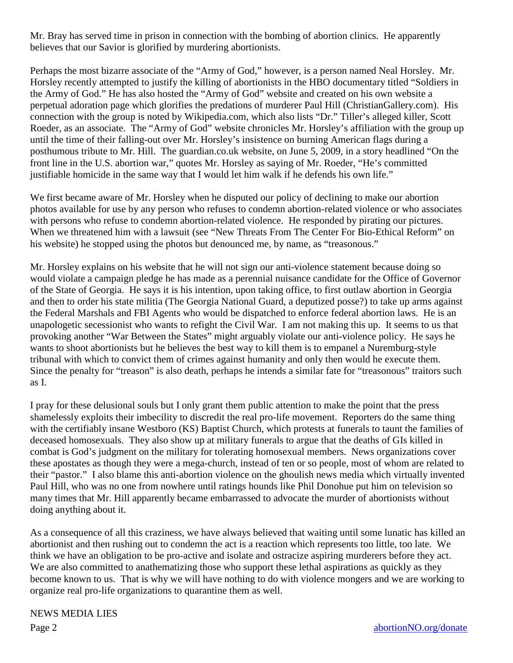Mr. Bray has served time in prison in connection with the bombing of abortion clinics. He apparently believes that our Savior is glorified by murdering abortionists.

Perhaps the most bizarre associate of the "Army of God," however, is a person named Neal Horsley. Mr. Horsley recently attempted to justify the killing of abortionists in the HBO documentary titled "Soldiers in the Army of God." He has also hosted the "Army of God" website and created on his own website a perpetual adoration page which glorifies the predations of murderer Paul Hill (ChristianGallery.com). His connection with the group is noted by Wikipedia.com, which also lists "Dr." Tiller's alleged killer, Scott Roeder, as an associate. The "Army of God" website chronicles Mr. Horsley's affiliation with the group up until the time of their falling-out over Mr. Horsley's insistence on burning American flags during a posthumous tribute to Mr. Hill. The guardian.co.uk website, on June 5, 2009, in a story headlined "On the front line in the U.S. abortion war," quotes Mr. Horsley as saying of Mr. Roeder, "He's committed justifiable homicide in the same way that I would let him walk if he defends his own life."

We first became aware of Mr. Horsley when he disputed our policy of declining to make our abortion photos available for use by any person who refuses to condemn abortion-related violence or who associates with persons who refuse to condemn abortion-related violence. He responded by pirating our pictures. When we threatened him with a lawsuit (see "New Threats From The Center For Bio-Ethical Reform" on his website) he stopped using the photos but denounced me, by name, as "treasonous."

Mr. Horsley explains on his website that he will not sign our anti-violence statement because doing so would violate a campaign pledge he has made as a perennial nuisance candidate for the Office of Governor of the State of Georgia. He says it is his intention, upon taking office, to first outlaw abortion in Georgia and then to order his state militia (The Georgia National Guard, a deputized posse?) to take up arms against the Federal Marshals and FBI Agents who would be dispatched to enforce federal abortion laws. He is an unapologetic secessionist who wants to refight the Civil War. I am not making this up. It seems to us that provoking another "War Between the States" might arguably violate our anti-violence policy. He says he wants to shoot abortionists but he believes the best way to kill them is to empanel a Nuremburg-style tribunal with which to convict them of crimes against humanity and only then would he execute them. Since the penalty for "treason" is also death, perhaps he intends a similar fate for "treasonous" traitors such as I.

I pray for these delusional souls but I only grant them public attention to make the point that the press shamelessly exploits their imbecility to discredit the real pro-life movement. Reporters do the same thing with the certifiably insane Westboro (KS) Baptist Church, which protests at funerals to taunt the families of deceased homosexuals. They also show up at military funerals to argue that the deaths of GIs killed in combat is God's judgment on the military for tolerating homosexual members. News organizations cover these apostates as though they were a mega-church, instead of ten or so people, most of whom are related to their "pastor." I also blame this anti-abortion violence on the ghoulish news media which virtually invented Paul Hill, who was no one from nowhere until ratings hounds like Phil Donohue put him on television so many times that Mr. Hill apparently became embarrassed to advocate the murder of abortionists without doing anything about it.

As a consequence of all this craziness, we have always believed that waiting until some lunatic has killed an abortionist and then rushing out to condemn the act is a reaction which represents too little, too late. We think we have an obligation to be pro-active and isolate and ostracize aspiring murderers before they act. We are also committed to anathematizing those who support these lethal aspirations as quickly as they become known to us. That is why we will have nothing to do with violence mongers and we are working to organize real pro-life organizations to quarantine them as well.

#### NEWS MEDIA LIES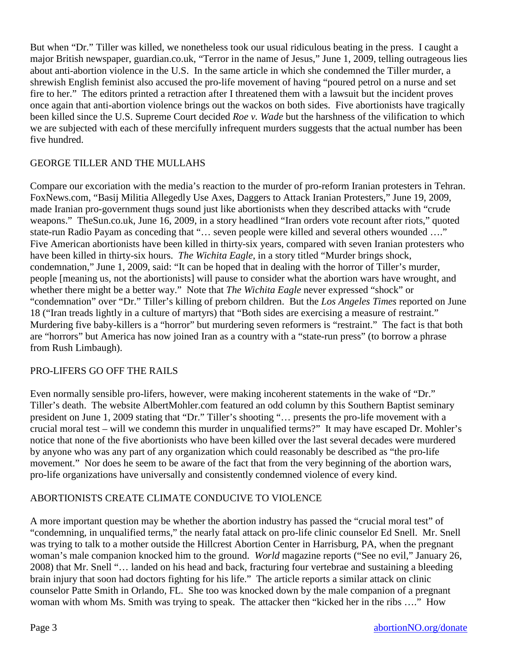But when "Dr." Tiller was killed, we nonetheless took our usual ridiculous beating in the press. I caught a major British newspaper, guardian.co.uk, "Terror in the name of Jesus," June 1, 2009, telling outrageous lies about anti-abortion violence in the U.S. In the same article in which she condemned the Tiller murder, a shrewish English feminist also accused the pro-life movement of having "poured petrol on a nurse and set fire to her." The editors printed a retraction after I threatened them with a lawsuit but the incident proves once again that anti-abortion violence brings out the wackos on both sides. Five abortionists have tragically been killed since the U.S. Supreme Court decided *Roe v. Wade* but the harshness of the vilification to which we are subjected with each of these mercifully infrequent murders suggests that the actual number has been five hundred.

## GEORGE TILLER AND THE MULLAHS

Compare our excoriation with the media's reaction to the murder of pro-reform Iranian protesters in Tehran. FoxNews.com, "Basij Militia Allegedly Use Axes, Daggers to Attack Iranian Protesters," June 19, 2009, made Iranian pro-government thugs sound just like abortionists when they described attacks with "crude weapons." TheSun.co.uk, June 16, 2009, in a story headlined "Iran orders vote recount after riots," quoted state-run Radio Payam as conceding that "… seven people were killed and several others wounded …." Five American abortionists have been killed in thirty-six years, compared with seven Iranian protesters who have been killed in thirty-six hours. *The Wichita Eagle*, in a story titled "Murder brings shock, condemnation," June 1, 2009, said: "It can be hoped that in dealing with the horror of Tiller's murder, people [meaning us, not the abortionists] will pause to consider what the abortion wars have wrought, and whether there might be a better way." Note that *The Wichita Eagle* never expressed "shock" or "condemnation" over "Dr." Tiller's killing of preborn children. But the *Los Angeles Times* reported on June 18 ("Iran treads lightly in a culture of martyrs) that "Both sides are exercising a measure of restraint." Murdering five baby-killers is a "horror" but murdering seven reformers is "restraint." The fact is that both are "horrors" but America has now joined Iran as a country with a "state-run press" (to borrow a phrase from Rush Limbaugh).

## PRO-LIFERS GO OFF THE RAILS

Even normally sensible pro-lifers, however, were making incoherent statements in the wake of "Dr." Tiller's death. The website AlbertMohler.com featured an odd column by this Southern Baptist seminary president on June 1, 2009 stating that "Dr." Tiller's shooting "… presents the pro-life movement with a crucial moral test – will we condemn this murder in unqualified terms?" It may have escaped Dr. Mohler's notice that none of the five abortionists who have been killed over the last several decades were murdered by anyone who was any part of any organization which could reasonably be described as "the pro-life movement." Nor does he seem to be aware of the fact that from the very beginning of the abortion wars, pro-life organizations have universally and consistently condemned violence of every kind.

## ABORTIONISTS CREATE CLIMATE CONDUCIVE TO VIOLENCE

A more important question may be whether the abortion industry has passed the "crucial moral test" of "condemning, in unqualified terms," the nearly fatal attack on pro-life clinic counselor Ed Snell. Mr. Snell was trying to talk to a mother outside the Hillcrest Abortion Center in Harrisburg, PA, when the pregnant woman's male companion knocked him to the ground. *World* magazine reports ("See no evil," January 26, 2008) that Mr. Snell "… landed on his head and back, fracturing four vertebrae and sustaining a bleeding brain injury that soon had doctors fighting for his life." The article reports a similar attack on clinic counselor Patte Smith in Orlando, FL. She too was knocked down by the male companion of a pregnant woman with whom Ms. Smith was trying to speak. The attacker then "kicked her in the ribs ...." How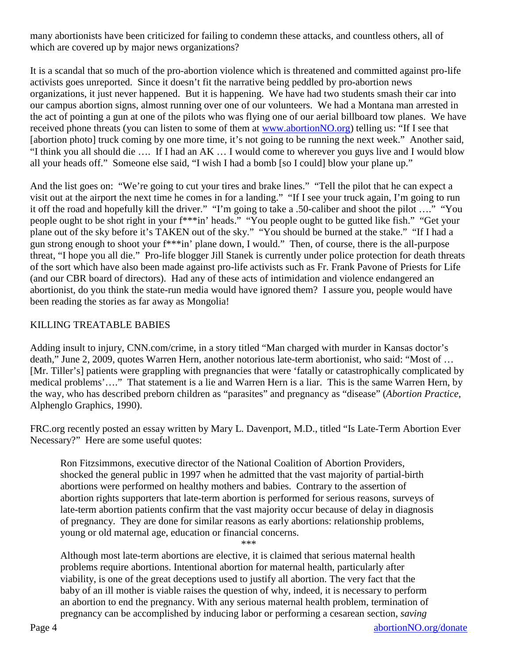many abortionists have been criticized for failing to condemn these attacks, and countless others, all of which are covered up by major news organizations?

It is a scandal that so much of the pro-abortion violence which is threatened and committed against pro-life activists goes unreported. Since it doesn't fit the narrative being peddled by pro-abortion news organizations, it just never happened. But it is happening. We have had two students smash their car into our campus abortion signs, almost running over one of our volunteers. We had a Montana man arrested in the act of pointing a gun at one of the pilots who was flying one of our aerial billboard tow planes. We have received phone threats (you can listen to some of them at [www.abortionNO.org\)](http://www.abortionno.org/) telling us: "If I see that [abortion photo] truck coming by one more time, it's not going to be running the next week." Another said, "I think you all should die …. If I had an AK … I would come to wherever you guys live and I would blow all your heads off." Someone else said, "I wish I had a bomb [so I could] blow your plane up."

And the list goes on: "We're going to cut your tires and brake lines." "Tell the pilot that he can expect a visit out at the airport the next time he comes in for a landing." "If I see your truck again, I'm going to run it off the road and hopefully kill the driver." "I'm going to take a .50-caliber and shoot the pilot …." "You people ought to be shot right in your f\*\*\*in' heads." "You people ought to be gutted like fish." "Get your plane out of the sky before it's TAKEN out of the sky." "You should be burned at the stake." "If I had a gun strong enough to shoot your f\*\*\*in' plane down, I would." Then, of course, there is the all-purpose threat, "I hope you all die." Pro-life blogger Jill Stanek is currently under police protection for death threats of the sort which have also been made against pro-life activists such as Fr. Frank Pavone of Priests for Life (and our CBR board of directors). Had any of these acts of intimidation and violence endangered an abortionist, do you think the state-run media would have ignored them? I assure you, people would have been reading the stories as far away as Mongolia!

## KILLING TREATABLE BABIES

Adding insult to injury, CNN.com/crime, in a story titled "Man charged with murder in Kansas doctor's death," June 2, 2009, quotes Warren Hern, another notorious late-term abortionist, who said: "Most of … [Mr. Tiller's] patients were grappling with pregnancies that were 'fatally or catastrophically complicated by medical problems'…." That statement is a lie and Warren Hern is a liar. This is the same Warren Hern, by the way, who has described preborn children as "parasites" and pregnancy as "disease" (*Abortion Practice*, Alphenglo Graphics, 1990).

FRC.org recently posted an essay written by Mary L. Davenport, M.D., titled "Is Late-Term Abortion Ever Necessary?" Here are some useful quotes:

Ron Fitzsimmons, executive director of the National Coalition of Abortion Providers, shocked the general public in 1997 when he admitted that the vast majority of partial-birth abortions were performed on healthy mothers and babies. Contrary to the assertion of abortion rights supporters that late-term abortion is performed for serious reasons, surveys of late-term abortion patients confirm that the vast majority occur because of delay in diagnosis of pregnancy. They are done for similar reasons as early abortions: relationship problems, young or old maternal age, education or financial concerns.

\*\*\* Although most late-term abortions are elective, it is claimed that serious maternal health problems require abortions. Intentional abortion for maternal health, particularly after viability, is one of the great deceptions used to justify all abortion. The very fact that the baby of an ill mother is viable raises the question of why, indeed, it is necessary to perform an abortion to end the pregnancy. With any serious maternal health problem, termination of pregnancy can be accomplished by inducing labor or performing a cesarean section, *saving*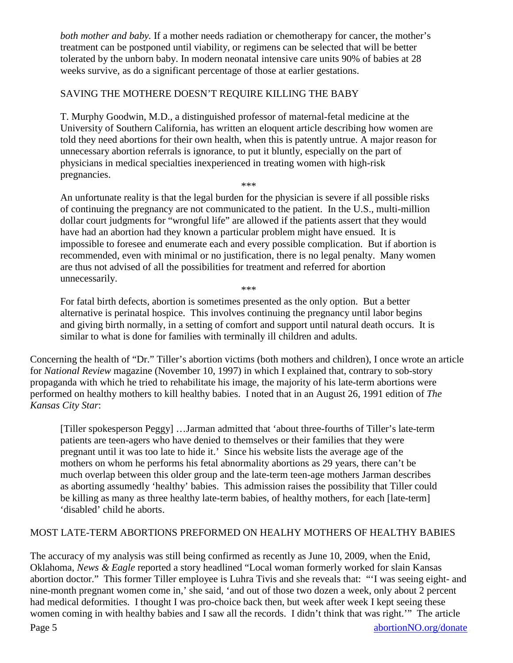*both mother and baby.* If a mother needs radiation or chemotherapy for cancer, the mother's treatment can be postponed until viability, or regimens can be selected that will be better tolerated by the unborn baby. In modern neonatal intensive care units 90% of babies at 28 weeks survive, as do a significant percentage of those at earlier gestations.

#### SAVING THE MOTHERE DOESN'T REQUIRE KILLING THE BABY

T. Murphy Goodwin, M.D., a distinguished professor of maternal-fetal medicine at the University of Southern California, has written an eloquent article describing how women are told they need abortions for their own health, when this is patently untrue. A major reason for unnecessary abortion referrals is ignorance, to put it bluntly, especially on the part of physicians in medical specialties inexperienced in treating women with high-risk pregnancies. \*\*\*

An unfortunate reality is that the legal burden for the physician is severe if all possible risks of continuing the pregnancy are not communicated to the patient. In the U.S., multi-million dollar court judgments for "wrongful life" are allowed if the patients assert that they would have had an abortion had they known a particular problem might have ensued. It is impossible to foresee and enumerate each and every possible complication. But if abortion is recommended, even with minimal or no justification, there is no legal penalty. Many women are thus not advised of all the possibilities for treatment and referred for abortion unnecessarily.

\*\*\*

For fatal birth defects, abortion is sometimes presented as the only option. But a better alternative is perinatal hospice. This involves continuing the pregnancy until labor begins and giving birth normally, in a setting of comfort and support until natural death occurs. It is similar to what is done for families with terminally ill children and adults.

Concerning the health of "Dr." Tiller's abortion victims (both mothers and children), I once wrote an article for *National Review* magazine (November 10, 1997) in which I explained that, contrary to sob-story propaganda with which he tried to rehabilitate his image, the majority of his late-term abortions were performed on healthy mothers to kill healthy babies. I noted that in an August 26, 1991 edition of *The Kansas City Star*:

[Tiller spokesperson Peggy] …Jarman admitted that 'about three-fourths of Tiller's late-term patients are teen-agers who have denied to themselves or their families that they were pregnant until it was too late to hide it.' Since his website lists the average age of the mothers on whom he performs his fetal abnormality abortions as 29 years, there can't be much overlap between this older group and the late-term teen-age mothers Jarman describes as aborting assumedly 'healthy' babies. This admission raises the possibility that Tiller could be killing as many as three healthy late-term babies, of healthy mothers, for each [late-term] 'disabled' child he aborts.

## MOST LATE-TERM ABORTIONS PREFORMED ON HEALHY MOTHERS OF HEALTHY BABIES

The accuracy of my analysis was still being confirmed as recently as June 10, 2009, when the Enid, Oklahoma, *News & Eagle* reported a story headlined "Local woman formerly worked for slain Kansas abortion doctor." This former Tiller employee is Luhra Tivis and she reveals that: "'I was seeing eight- and nine-month pregnant women come in,' she said, 'and out of those two dozen a week, only about 2 percent had medical deformities. I thought I was pro-choice back then, but week after week I kept seeing these women coming in with healthy babies and I saw all the records. I didn't think that was right.'" The article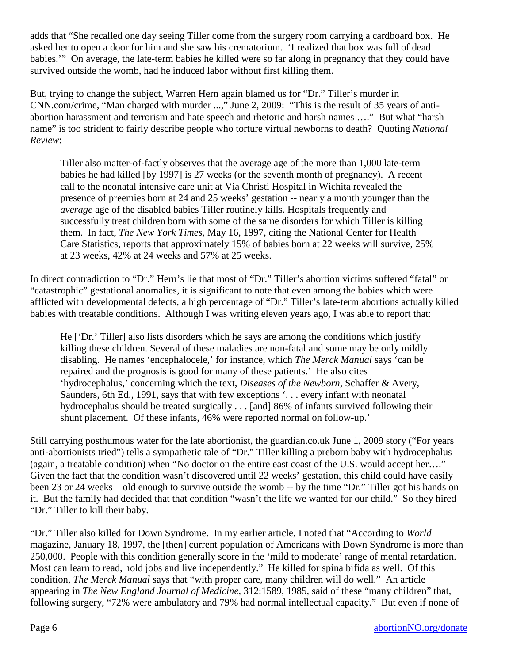adds that "She recalled one day seeing Tiller come from the surgery room carrying a cardboard box. He asked her to open a door for him and she saw his crematorium. 'I realized that box was full of dead babies.'" On average, the late-term babies he killed were so far along in pregnancy that they could have survived outside the womb, had he induced labor without first killing them.

But, trying to change the subject, Warren Hern again blamed us for "Dr." Tiller's murder in CNN.com/crime, "Man charged with murder ...," June 2, 2009: "This is the result of 35 years of antiabortion harassment and terrorism and hate speech and rhetoric and harsh names …." But what "harsh name" is too strident to fairly describe people who torture virtual newborns to death? Quoting *National Review*:

Tiller also matter-of-factly observes that the average age of the more than 1,000 late-term babies he had killed [by 1997] is 27 weeks (or the seventh month of pregnancy). A recent call to the neonatal intensive care unit at Via Christi Hospital in Wichita revealed the presence of preemies born at 24 and 25 weeks' gestation -- nearly a month younger than the *average* age of the disabled babies Tiller routinely kills. Hospitals frequently and successfully treat children born with some of the same disorders for which Tiller is killing them. In fact, *The New York Times*, May 16, 1997, citing the National Center for Health Care Statistics, reports that approximately 15% of babies born at 22 weeks will survive, 25% at 23 weeks, 42% at 24 weeks and 57% at 25 weeks.

In direct contradiction to "Dr." Hern's lie that most of "Dr." Tiller's abortion victims suffered "fatal" or "catastrophic" gestational anomalies, it is significant to note that even among the babies which were afflicted with developmental defects, a high percentage of "Dr." Tiller's late-term abortions actually killed babies with treatable conditions. Although I was writing eleven years ago, I was able to report that:

He ['Dr.' Tiller] also lists disorders which he says are among the conditions which justify killing these children. Several of these maladies are non-fatal and some may be only mildly disabling. He names 'encephalocele,' for instance, which *The Merck Manual* says 'can be repaired and the prognosis is good for many of these patients.' He also cites 'hydrocephalus,' concerning which the text, *Diseases of the Newborn*, Schaffer & Avery, Saunders, 6th Ed., 1991, says that with few exceptions '. . . every infant with neonatal hydrocephalus should be treated surgically . . . [and] 86% of infants survived following their shunt placement. Of these infants, 46% were reported normal on follow-up.'

Still carrying posthumous water for the late abortionist, the guardian.co.uk June 1, 2009 story ("For years anti-abortionists tried") tells a sympathetic tale of "Dr." Tiller killing a preborn baby with hydrocephalus (again, a treatable condition) when "No doctor on the entire east coast of the U.S. would accept her…." Given the fact that the condition wasn't discovered until 22 weeks' gestation, this child could have easily been 23 or 24 weeks – old enough to survive outside the womb -- by the time "Dr." Tiller got his hands on it. But the family had decided that that condition "wasn't the life we wanted for our child." So they hired "Dr." Tiller to kill their baby.

"Dr." Tiller also killed for Down Syndrome. In my earlier article, I noted that "According to *World* magazine, January 18, 1997, the [then] current population of Americans with Down Syndrome is more than 250,000. People with this condition generally score in the 'mild to moderate' range of mental retardation. Most can learn to read, hold jobs and live independently." He killed for spina bifida as well. Of this condition, *The Merck Manual* says that "with proper care, many children will do well." An article appearing in *The New England Journal of Medicine*, 312:1589, 1985, said of these "many children" that, following surgery, "72% were ambulatory and 79% had normal intellectual capacity." But even if none of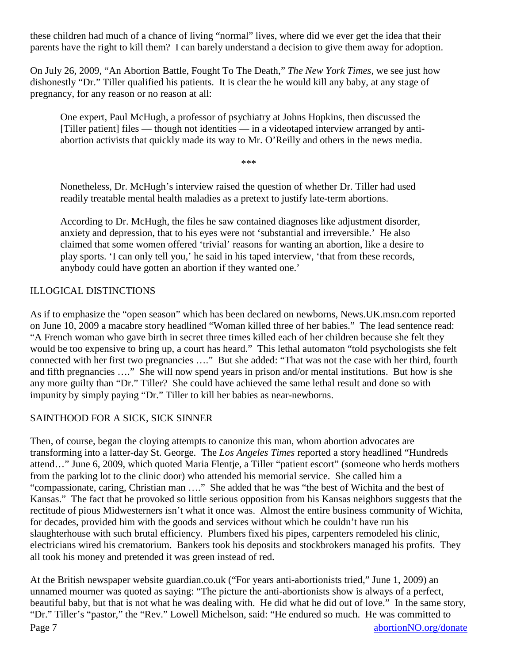these children had much of a chance of living "normal" lives, where did we ever get the idea that their parents have the right to kill them? I can barely understand a decision to give them away for adoption.

On July 26, 2009, "An Abortion Battle, Fought To The Death," *The New York Times*, we see just how dishonestly "Dr." Tiller qualified his patients. It is clear the he would kill any baby, at any stage of pregnancy, for any reason or no reason at all:

One expert, Paul McHugh, a professor of psychiatry at Johns Hopkins, then discussed the [Tiller patient] files — though not identities — in a videotaped interview arranged by antiabortion activists that quickly made its way to Mr. O'Reilly and others in the news media.

\*\*\*

Nonetheless, Dr. McHugh's interview raised the question of whether Dr. Tiller had used readily treatable mental health maladies as a pretext to justify late-term abortions.

According to Dr. McHugh, the files he saw contained diagnoses like adjustment disorder, anxiety and depression, that to his eyes were not 'substantial and irreversible.' He also claimed that some women offered 'trivial' reasons for wanting an abortion, like a desire to play sports. 'I can only tell you,' he said in his taped interview, 'that from these records, anybody could have gotten an abortion if they wanted one.'

## ILLOGICAL DISTINCTIONS

As if to emphasize the "open season" which has been declared on newborns, News.UK.msn.com reported on June 10, 2009 a macabre story headlined "Woman killed three of her babies." The lead sentence read: "A French woman who gave birth in secret three times killed each of her children because she felt they would be too expensive to bring up, a court has heard." This lethal automaton "told psychologists she felt connected with her first two pregnancies …." But she added: "That was not the case with her third, fourth and fifth pregnancies …." She will now spend years in prison and/or mental institutions. But how is she any more guilty than "Dr." Tiller? She could have achieved the same lethal result and done so with impunity by simply paying "Dr." Tiller to kill her babies as near-newborns.

## SAINTHOOD FOR A SICK, SICK SINNER

Then, of course, began the cloying attempts to canonize this man, whom abortion advocates are transforming into a latter-day St. George. The *Los Angeles Times* reported a story headlined "Hundreds attend…" June 6, 2009, which quoted Maria Flentje, a Tiller "patient escort" (someone who herds mothers from the parking lot to the clinic door) who attended his memorial service. She called him a "compassionate, caring, Christian man …." She added that he was "the best of Wichita and the best of Kansas." The fact that he provoked so little serious opposition from his Kansas neighbors suggests that the rectitude of pious Midwesterners isn't what it once was. Almost the entire business community of Wichita, for decades, provided him with the goods and services without which he couldn't have run his slaughterhouse with such brutal efficiency. Plumbers fixed his pipes, carpenters remodeled his clinic, electricians wired his crematorium. Bankers took his deposits and stockbrokers managed his profits. They all took his money and pretended it was green instead of red.

Page 7 [abortionNO.org/donate](http://www.abortionno.org/donate) At the British newspaper website guardian.co.uk ("For years anti-abortionists tried," June 1, 2009) an unnamed mourner was quoted as saying: "The picture the anti-abortionists show is always of a perfect, beautiful baby, but that is not what he was dealing with. He did what he did out of love." In the same story, "Dr." Tiller's "pastor," the "Rev." Lowell Michelson, said: "He endured so much. He was committed to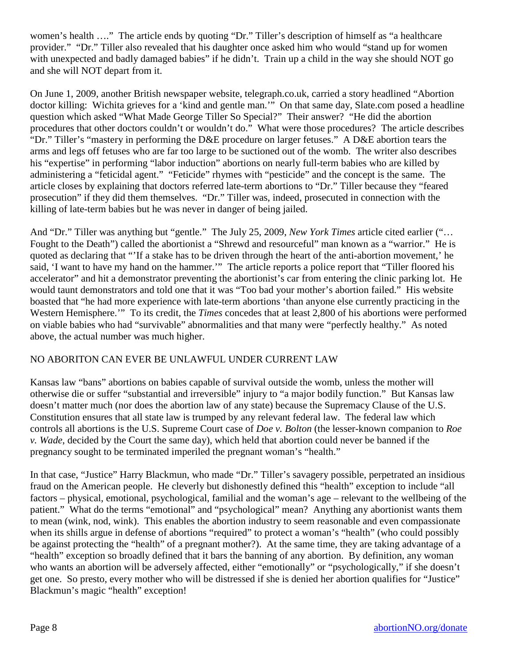women's health …." The article ends by quoting "Dr." Tiller's description of himself as "a healthcare provider." "Dr." Tiller also revealed that his daughter once asked him who would "stand up for women with unexpected and badly damaged babies" if he didn't. Train up a child in the way she should NOT go and she will NOT depart from it.

On June 1, 2009, another British newspaper website, telegraph.co.uk, carried a story headlined "Abortion doctor killing: Wichita grieves for a 'kind and gentle man.'" On that same day, Slate.com posed a headline question which asked "What Made George Tiller So Special?" Their answer? "He did the abortion procedures that other doctors couldn't or wouldn't do." What were those procedures? The article describes "Dr." Tiller's "mastery in performing the D&E procedure on larger fetuses." A D&E abortion tears the arms and legs off fetuses who are far too large to be suctioned out of the womb. The writer also describes his "expertise" in performing "labor induction" abortions on nearly full-term babies who are killed by administering a "feticidal agent." "Feticide" rhymes with "pesticide" and the concept is the same. The article closes by explaining that doctors referred late-term abortions to "Dr." Tiller because they "feared prosecution" if they did them themselves. "Dr." Tiller was, indeed, prosecuted in connection with the killing of late-term babies but he was never in danger of being jailed.

And "Dr." Tiller was anything but "gentle." The July 25, 2009, *New York Times* article cited earlier ("… Fought to the Death") called the abortionist a "Shrewd and resourceful" man known as a "warrior." He is quoted as declaring that "'If a stake has to be driven through the heart of the anti-abortion movement,' he said, 'I want to have my hand on the hammer.'" The article reports a police report that "Tiller floored his accelerator" and hit a demonstrator preventing the abortionist's car from entering the clinic parking lot. He would taunt demonstrators and told one that it was "Too bad your mother's abortion failed." His website boasted that "he had more experience with late-term abortions 'than anyone else currently practicing in the Western Hemisphere.'" To its credit, the *Times* concedes that at least 2,800 of his abortions were performed on viable babies who had "survivable" abnormalities and that many were "perfectly healthy." As noted above, the actual number was much higher.

## NO ABORITON CAN EVER BE UNLAWFUL UNDER CURRENT LAW

Kansas law "bans" abortions on babies capable of survival outside the womb, unless the mother will otherwise die or suffer "substantial and irreversible" injury to "a major bodily function." But Kansas law doesn't matter much (nor does the abortion law of any state) because the Supremacy Clause of the U.S. Constitution ensures that all state law is trumped by any relevant federal law. The federal law which controls all abortions is the U.S. Supreme Court case of *Doe v. Bolton* (the lesser-known companion to *Roe v. Wade*, decided by the Court the same day), which held that abortion could never be banned if the pregnancy sought to be terminated imperiled the pregnant woman's "health."

In that case, "Justice" Harry Blackmun, who made "Dr." Tiller's savagery possible, perpetrated an insidious fraud on the American people. He cleverly but dishonestly defined this "health" exception to include "all factors – physical, emotional, psychological, familial and the woman's age – relevant to the wellbeing of the patient." What do the terms "emotional" and "psychological" mean? Anything any abortionist wants them to mean (wink, nod, wink). This enables the abortion industry to seem reasonable and even compassionate when its shills argue in defense of abortions "required" to protect a woman's "health" (who could possibly be against protecting the "health" of a pregnant mother?). At the same time, they are taking advantage of a "health" exception so broadly defined that it bars the banning of any abortion. By definition, any woman who wants an abortion will be adversely affected, either "emotionally" or "psychologically," if she doesn't get one. So presto, every mother who will be distressed if she is denied her abortion qualifies for "Justice" Blackmun's magic "health" exception!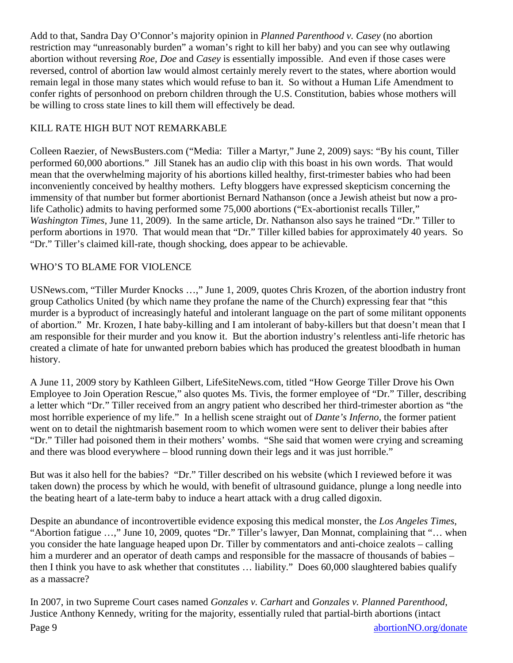Add to that, Sandra Day O'Connor's majority opinion in *Planned Parenthood v. Casey* (no abortion restriction may "unreasonably burden" a woman's right to kill her baby) and you can see why outlawing abortion without reversing *Roe, Doe* and *Casey* is essentially impossible. And even if those cases were reversed, control of abortion law would almost certainly merely revert to the states, where abortion would remain legal in those many states which would refuse to ban it. So without a Human Life Amendment to confer rights of personhood on preborn children through the U.S. Constitution, babies whose mothers will be willing to cross state lines to kill them will effectively be dead.

# KILL RATE HIGH BUT NOT REMARKABLE

Colleen Raezier, of NewsBusters.com ("Media: Tiller a Martyr," June 2, 2009) says: "By his count, Tiller performed 60,000 abortions." Jill Stanek has an audio clip with this boast in his own words. That would mean that the overwhelming majority of his abortions killed healthy, first-trimester babies who had been inconveniently conceived by healthy mothers. Lefty bloggers have expressed skepticism concerning the immensity of that number but former abortionist Bernard Nathanson (once a Jewish atheist but now a prolife Catholic) admits to having performed some 75,000 abortions ("Ex-abortionist recalls Tiller," *Washington Times*, June 11, 2009). In the same article, Dr. Nathanson also says he trained "Dr." Tiller to perform abortions in 1970. That would mean that "Dr." Tiller killed babies for approximately 40 years. So "Dr." Tiller's claimed kill-rate, though shocking, does appear to be achievable.

## WHO'S TO BLAME FOR VIOLENCE

USNews.com, "Tiller Murder Knocks …," June 1, 2009, quotes Chris Krozen, of the abortion industry front group Catholics United (by which name they profane the name of the Church) expressing fear that "this murder is a byproduct of increasingly hateful and intolerant language on the part of some militant opponents of abortion." Mr. Krozen, I hate baby-killing and I am intolerant of baby-killers but that doesn't mean that I am responsible for their murder and you know it. But the abortion industry's relentless anti-life rhetoric has created a climate of hate for unwanted preborn babies which has produced the greatest bloodbath in human history.

A June 11, 2009 story by Kathleen Gilbert, LifeSiteNews.com, titled "How George Tiller Drove his Own Employee to Join Operation Rescue," also quotes Ms. Tivis, the former employee of "Dr." Tiller, describing a letter which "Dr." Tiller received from an angry patient who described her third-trimester abortion as "the most horrible experience of my life." In a hellish scene straight out of *Dante's Inferno*, the former patient went on to detail the nightmarish basement room to which women were sent to deliver their babies after "Dr." Tiller had poisoned them in their mothers' wombs. "She said that women were crying and screaming and there was blood everywhere – blood running down their legs and it was just horrible."

But was it also hell for the babies? "Dr." Tiller described on his website (which I reviewed before it was taken down) the process by which he would, with benefit of ultrasound guidance, plunge a long needle into the beating heart of a late-term baby to induce a heart attack with a drug called digoxin.

Despite an abundance of incontrovertible evidence exposing this medical monster, the *Los Angeles Times*, "Abortion fatigue …," June 10, 2009, quotes "Dr." Tiller's lawyer, Dan Monnat, complaining that "… when you consider the hate language heaped upon Dr. Tiller by commentators and anti-choice zealots – calling him a murderer and an operator of death camps and responsible for the massacre of thousands of babies – then I think you have to ask whether that constitutes … liability." Does 60,000 slaughtered babies qualify as a massacre?

In 2007, in two Supreme Court cases named *Gonzales v. Carhart* and *Gonzales v. Planned Parenthood*, Justice Anthony Kennedy, writing for the majority, essentially ruled that partial-birth abortions (intact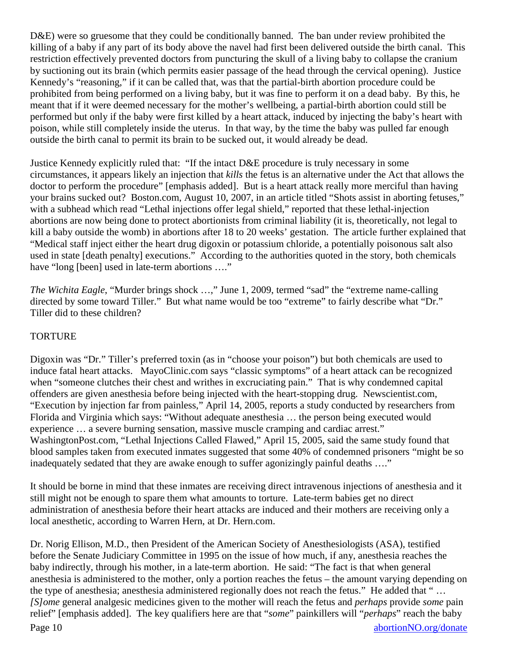D&E) were so gruesome that they could be conditionally banned. The ban under review prohibited the killing of a baby if any part of its body above the navel had first been delivered outside the birth canal. This restriction effectively prevented doctors from puncturing the skull of a living baby to collapse the cranium by suctioning out its brain (which permits easier passage of the head through the cervical opening). Justice Kennedy's "reasoning," if it can be called that, was that the partial-birth abortion procedure could be prohibited from being performed on a living baby, but it was fine to perform it on a dead baby. By this, he meant that if it were deemed necessary for the mother's wellbeing, a partial-birth abortion could still be performed but only if the baby were first killed by a heart attack, induced by injecting the baby's heart with poison, while still completely inside the uterus. In that way, by the time the baby was pulled far enough outside the birth canal to permit its brain to be sucked out, it would already be dead.

Justice Kennedy explicitly ruled that: "If the intact D&E procedure is truly necessary in some circumstances, it appears likely an injection that *kills* the fetus is an alternative under the Act that allows the doctor to perform the procedure" [emphasis added]. But is a heart attack really more merciful than having your brains sucked out? Boston.com, August 10, 2007, in an article titled "Shots assist in aborting fetuses," with a subhead which read "Lethal injections offer legal shield," reported that these lethal-injection abortions are now being done to protect abortionists from criminal liability (it is, theoretically, not legal to kill a baby outside the womb) in abortions after 18 to 20 weeks' gestation. The article further explained that "Medical staff inject either the heart drug digoxin or potassium chloride, a potentially poisonous salt also used in state [death penalty] executions." According to the authorities quoted in the story, both chemicals have "long [been] used in late-term abortions ...."

*The Wichita Eagle*, "Murder brings shock …," June 1, 2009, termed "sad" the "extreme name-calling directed by some toward Tiller." But what name would be too "extreme" to fairly describe what "Dr." Tiller did to these children?

## **TORTURE**

Digoxin was "Dr." Tiller's preferred toxin (as in "choose your poison") but both chemicals are used to induce fatal heart attacks. MayoClinic.com says "classic symptoms" of a heart attack can be recognized when "someone clutches their chest and writhes in excruciating pain." That is why condemned capital offenders are given anesthesia before being injected with the heart-stopping drug. Newscientist.com, "Execution by injection far from painless," April 14, 2005, reports a study conducted by researchers from Florida and Virginia which says: "Without adequate anesthesia … the person being executed would experience … a severe burning sensation, massive muscle cramping and cardiac arrest." WashingtonPost.com, "Lethal Injections Called Flawed," April 15, 2005, said the same study found that blood samples taken from executed inmates suggested that some 40% of condemned prisoners "might be so inadequately sedated that they are awake enough to suffer agonizingly painful deaths …."

It should be borne in mind that these inmates are receiving direct intravenous injections of anesthesia and it still might not be enough to spare them what amounts to torture. Late-term babies get no direct administration of anesthesia before their heart attacks are induced and their mothers are receiving only a local anesthetic, according to Warren Hern, at Dr. Hern.com.

Dr. Norig Ellison, M.D., then President of the American Society of Anesthesiologists (ASA), testified before the Senate Judiciary Committee in 1995 on the issue of how much, if any, anesthesia reaches the baby indirectly, through his mother, in a late-term abortion. He said: "The fact is that when general anesthesia is administered to the mother, only a portion reaches the fetus – the amount varying depending on the type of anesthesia; anesthesia administered regionally does not reach the fetus." He added that " … *[S]ome* general analgesic medicines given to the mother will reach the fetus and *perhaps* provide *some* pain relief" [emphasis added]. The key qualifiers here are that "*some*" painkillers will "*perhaps*" reach the baby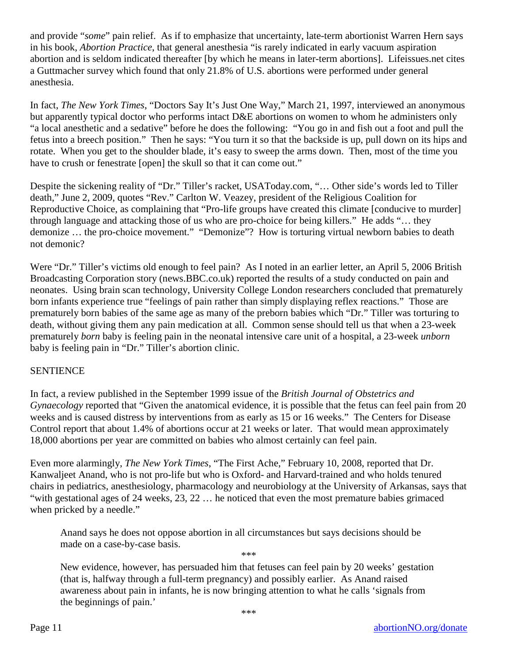and provide "*some*" pain relief. As if to emphasize that uncertainty, late-term abortionist Warren Hern says in his book, *Abortion Practice*, that general anesthesia "is rarely indicated in early vacuum aspiration abortion and is seldom indicated thereafter [by which he means in later-term abortions]. Lifeissues.net cites a Guttmacher survey which found that only 21.8% of U.S. abortions were performed under general anesthesia.

In fact, *The New York Times*, "Doctors Say It's Just One Way," March 21, 1997, interviewed an anonymous but apparently typical doctor who performs intact D&E abortions on women to whom he administers only "a local anesthetic and a sedative" before he does the following: "You go in and fish out a foot and pull the fetus into a breech position." Then he says: "You turn it so that the backside is up, pull down on its hips and rotate. When you get to the shoulder blade, it's easy to sweep the arms down. Then, most of the time you have to crush or fenestrate [open] the skull so that it can come out."

Despite the sickening reality of "Dr." Tiller's racket, USAToday.com, "… Other side's words led to Tiller death," June 2, 2009, quotes "Rev." Carlton W. Veazey, president of the Religious Coalition for Reproductive Choice, as complaining that "Pro-life groups have created this climate [conducive to murder] through language and attacking those of us who are pro-choice for being killers." He adds "… they demonize … the pro-choice movement." "Demonize"? How is torturing virtual newborn babies to death not demonic?

Were "Dr." Tiller's victims old enough to feel pain? As I noted in an earlier letter, an April 5, 2006 British Broadcasting Corporation story (news.BBC.co.uk) reported the results of a study conducted on pain and neonates. Using brain scan technology, University College London researchers concluded that prematurely born infants experience true "feelings of pain rather than simply displaying reflex reactions." Those are prematurely born babies of the same age as many of the preborn babies which "Dr." Tiller was torturing to death, without giving them any pain medication at all. Common sense should tell us that when a 23-week prematurely *born* baby is feeling pain in the neonatal intensive care unit of a hospital, a 23-week *unborn* baby is feeling pain in "Dr." Tiller's abortion clinic.

## **SENTIENCE**

In fact, a review published in the September 1999 issue of the *British Journal of Obstetrics and Gynaecology* reported that "Given the anatomical evidence, it is possible that the fetus can feel pain from 20 weeks and is caused distress by interventions from as early as 15 or 16 weeks." The Centers for Disease Control report that about 1.4% of abortions occur at 21 weeks or later. That would mean approximately 18,000 abortions per year are committed on babies who almost certainly can feel pain.

Even more alarmingly, *The New York Times*, "The First Ache," February 10, 2008, reported that Dr. Kanwaljeet Anand, who is not pro-life but who is Oxford- and Harvard-trained and who holds tenured chairs in pediatrics, anesthesiology, pharmacology and neurobiology at the University of Arkansas, says that "with gestational ages of 24 weeks, 23, 22 … he noticed that even the most premature babies grimaced when pricked by a needle."

Anand says he does not oppose abortion in all circumstances but says decisions should be made on a case-by-case basis.

\*\*\*

New evidence, however, has persuaded him that fetuses can feel pain by 20 weeks' gestation (that is, halfway through a full-term pregnancy) and possibly earlier. As Anand raised awareness about pain in infants, he is now bringing attention to what he calls 'signals from the beginnings of pain.'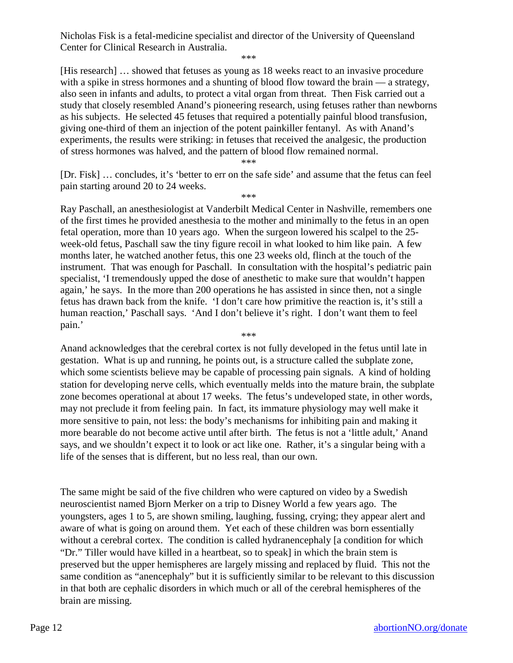Nicholas Fisk is a fetal-medicine specialist and director of the University of Queensland Center for Clinical Research in Australia.

\*\*\*

[His research] ... showed that fetuses as young as 18 weeks react to an invasive procedure with a spike in stress hormones and a shunting of blood flow toward the brain — a strategy, also seen in infants and adults, to protect a vital organ from threat. Then Fisk carried out a study that closely resembled Anand's pioneering research, using fetuses rather than newborns as his subjects. He selected 45 fetuses that required a potentially painful blood transfusion, giving one-third of them an injection of the potent painkiller fentanyl. As with Anand's experiments, the results were striking: in fetuses that received the analgesic, the production of stress hormones was halved, and the pattern of blood flow remained normal.

\*\*\*

[Dr. Fisk] … concludes, it's 'better to err on the safe side' and assume that the fetus can feel pain starting around 20 to 24 weeks.

\*\*\*

Ray Paschall, an anesthesiologist at Vanderbilt Medical Center in Nashville, remembers one of the first times he provided anesthesia to the mother and minimally to the fetus in an open fetal operation, more than 10 years ago. When the surgeon lowered his scalpel to the 25 week-old fetus, Paschall saw the tiny figure recoil in what looked to him like pain. A few months later, he watched another fetus, this one 23 weeks old, flinch at the touch of the instrument. That was enough for Paschall. In consultation with the hospital's pediatric pain specialist, 'I tremendously upped the dose of anesthetic to make sure that wouldn't happen again,' he says. In the more than 200 operations he has assisted in since then, not a single fetus has drawn back from the knife. 'I don't care how primitive the reaction is, it's still a human reaction,' Paschall says. 'And I don't believe it's right. I don't want them to feel pain.' \*\*\*

Anand acknowledges that the cerebral cortex is not fully developed in the fetus until late in gestation. What is up and running, he points out, is a structure called the subplate zone, which some scientists believe may be capable of processing pain signals. A kind of holding station for developing nerve cells, which eventually melds into the mature brain, the subplate zone becomes operational at about 17 weeks. The fetus's undeveloped state, in other words, may not preclude it from feeling pain. In fact, its immature physiology may well make it more sensitive to pain, not less: the body's mechanisms for inhibiting pain and making it more bearable do not become active until after birth. The fetus is not a 'little adult,' Anand says, and we shouldn't expect it to look or act like one. Rather, it's a singular being with a life of the senses that is different, but no less real, than our own.

The same might be said of the five children who were captured on video by a Swedish neuroscientist named Bjorn Merker on a trip to Disney World a few years ago. The youngsters, ages 1 to 5, are shown smiling, laughing, fussing, crying; they appear alert and aware of what is going on around them. Yet each of these children was born essentially without a cerebral cortex. The condition is called hydranencephaly [a condition for which "Dr." Tiller would have killed in a heartbeat, so to speak] in which the brain stem is preserved but the upper hemispheres are largely missing and replaced by fluid. This not the same condition as "anencephaly" but it is sufficiently similar to be relevant to this discussion in that both are cephalic disorders in which much or all of the cerebral hemispheres of the brain are missing.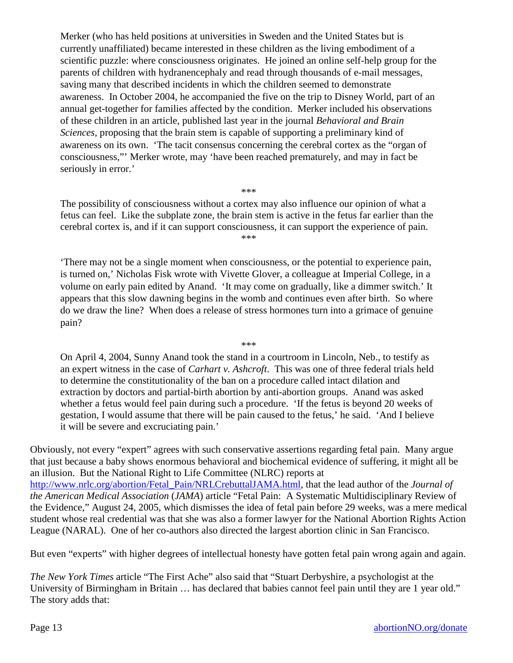Merker (who has held positions at universities in Sweden and the United States but is currently unaffiliated) became interested in these children as the living embodiment of a scientific puzzle: where consciousness originates. He joined an online self-help group for the parents of children with hydranencephaly and read through thousands of e-mail messages, saving many that described incidents in which the children seemed to demonstrate awareness. In October 2004, he accompanied the five on the trip to Disney World, part of an annual get-together for families affected by the condition. Merker included his observations of these children in an article, published last year in the journal *Behavioral and Brain Sciences*, proposing that the brain stem is capable of supporting a preliminary kind of awareness on its own. 'The tacit consensus concerning the cerebral cortex as the "organ of consciousness,"' Merker wrote, may 'have been reached prematurely, and may in fact be seriously in error.'

\*\*\*

The possibility of consciousness without a cortex may also influence our opinion of what a fetus can feel. Like the subplate zone, the brain stem is active in the fetus far earlier than the cerebral cortex is, and if it can support consciousness, it can support the experience of pain. \*\*\*

'There may not be a single moment when consciousness, or the potential to experience pain, is turned on,' Nicholas Fisk wrote with Vivette Glover, a colleague at Imperial College, in a volume on early pain edited by Anand. 'It may come on gradually, like a dimmer switch.' It appears that this slow dawning begins in the womb and continues even after birth. So where do we draw the line? When does a release of stress hormones turn into a grimace of genuine pain?

\*\*\*

On April 4, 2004, Sunny Anand took the stand in a courtroom in Lincoln, Neb., to testify as an expert witness in the case of *Carhart v. Ashcroft*. This was one of three federal trials held to determine the constitutionality of the ban on a procedure called intact dilation and extraction by doctors and partial-birth abortion by anti-abortion groups. Anand was asked whether a fetus would feel pain during such a procedure. 'If the fetus is beyond 20 weeks of gestation, I would assume that there will be pain caused to the fetus,' he said. 'And I believe it will be severe and excruciating pain.'

Obviously, not every "expert" agrees with such conservative assertions regarding fetal pain. Many argue that just because a baby shows enormous behavioral and biochemical evidence of suffering, it might all be an illusion. But the National Right to Life Committee (NLRC) reports at [http://www.nrlc.org/abortion/Fetal\\_Pain/NRLCrebuttalJAMA.html,](http://www.nrlc.org/abortion/Fetal_Pain/NRLCrebuttalJAMA.html) that the lead author of the *Journal of the American Medical Association* (*JAMA*) article "Fetal Pain: A Systematic Multidisciplinary Review of the Evidence," August 24, 2005, which dismisses the idea of fetal pain before 29 weeks, was a mere medical student whose real credential was that she was also a former lawyer for the National Abortion Rights Action League (NARAL). One of her co-authors also directed the largest abortion clinic in San Francisco.

But even "experts" with higher degrees of intellectual honesty have gotten fetal pain wrong again and again.

*The New York Times* article "The First Ache" also said that "Stuart Derbyshire, a psychologist at the University of Birmingham in Britain ... has declared that babies cannot feel pain until they are 1 year old." The story adds that: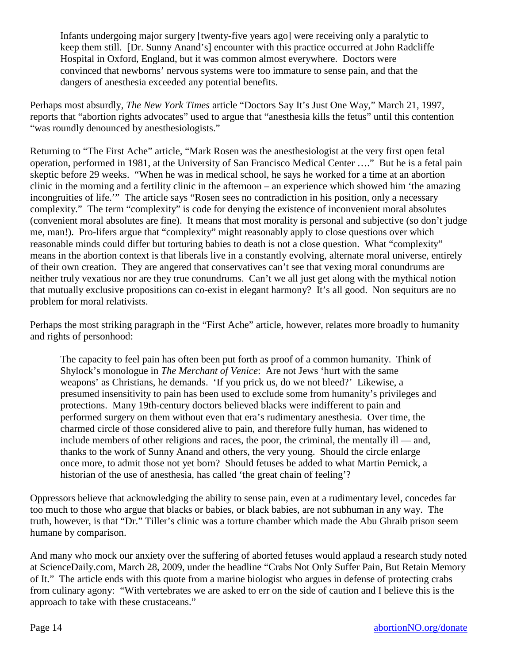Infants undergoing major surgery [twenty-five years ago] were receiving only a paralytic to keep them still. [Dr. Sunny Anand's] encounter with this practice occurred at John Radcliffe Hospital in Oxford, England, but it was common almost everywhere. Doctors were convinced that newborns' nervous systems were too immature to sense pain, and that the dangers of anesthesia exceeded any potential benefits.

Perhaps most absurdly, *The New York Times* article "Doctors Say It's Just One Way," March 21, 1997, reports that "abortion rights advocates" used to argue that "anesthesia kills the fetus" until this contention "was roundly denounced by anesthesiologists."

Returning to "The First Ache" article, "Mark Rosen was the anesthesiologist at the very first open fetal operation, performed in 1981, at the University of San Francisco Medical Center …." But he is a fetal pain skeptic before 29 weeks. "When he was in medical school, he says he worked for a time at an abortion clinic in the morning and a fertility clinic in the afternoon – an experience which showed him 'the amazing incongruities of life.'" The article says "Rosen sees no contradiction in his position, only a necessary complexity." The term "complexity" is code for denying the existence of inconvenient moral absolutes (convenient moral absolutes are fine). It means that most morality is personal and subjective (so don't judge me, man!). Pro-lifers argue that "complexity" might reasonably apply to close questions over which reasonable minds could differ but torturing babies to death is not a close question. What "complexity" means in the abortion context is that liberals live in a constantly evolving, alternate moral universe, entirely of their own creation. They are angered that conservatives can't see that vexing moral conundrums are neither truly vexatious nor are they true conundrums. Can't we all just get along with the mythical notion that mutually exclusive propositions can co-exist in elegant harmony? It's all good. Non sequiturs are no problem for moral relativists.

Perhaps the most striking paragraph in the "First Ache" article, however, relates more broadly to humanity and rights of personhood:

The capacity to feel pain has often been put forth as proof of a common humanity. Think of Shylock's monologue in *The Merchant of Venice*: Are not Jews 'hurt with the same weapons' as Christians, he demands. 'If you prick us, do we not bleed?' Likewise, a presumed insensitivity to pain has been used to exclude some from humanity's privileges and protections. Many 19th-century doctors believed blacks were indifferent to pain and performed surgery on them without even that era's rudimentary anesthesia. Over time, the charmed circle of those considered alive to pain, and therefore fully human, has widened to include members of other religions and races, the poor, the criminal, the mentally ill — and, thanks to the work of Sunny Anand and others, the very young. Should the circle enlarge once more, to admit those not yet born? Should fetuses be added to what Martin Pernick, a historian of the use of anesthesia, has called 'the great chain of feeling'?

Oppressors believe that acknowledging the ability to sense pain, even at a rudimentary level, concedes far too much to those who argue that blacks or babies, or black babies, are not subhuman in any way. The truth, however, is that "Dr." Tiller's clinic was a torture chamber which made the Abu Ghraib prison seem humane by comparison.

And many who mock our anxiety over the suffering of aborted fetuses would applaud a research study noted at ScienceDaily.com, March 28, 2009, under the headline "Crabs Not Only Suffer Pain, But Retain Memory of It." The article ends with this quote from a marine biologist who argues in defense of protecting crabs from culinary agony: "With vertebrates we are asked to err on the side of caution and I believe this is the approach to take with these crustaceans."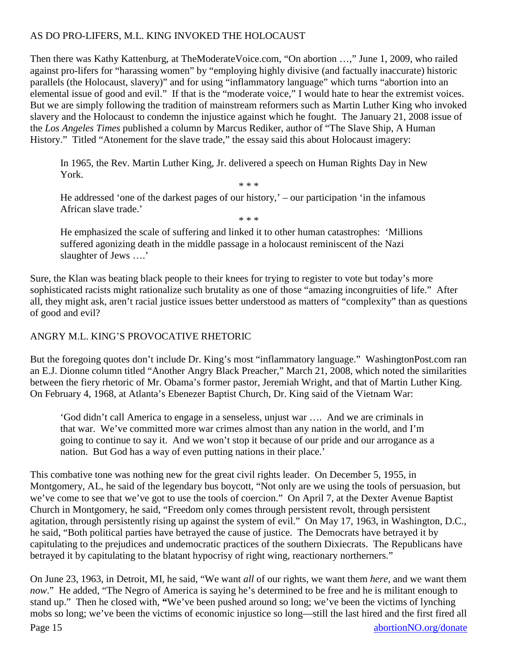## AS DO PRO-LIFERS, M.L. KING INVOKED THE HOLOCAUST

Then there was Kathy Kattenburg, at TheModerateVoice.com, "On abortion …," June 1, 2009, who railed against pro-lifers for "harassing women" by "employing highly divisive (and factually inaccurate) historic parallels (the Holocaust, slavery)" and for using "inflammatory language" which turns "abortion into an elemental issue of good and evil." If that is the "moderate voice," I would hate to hear the extremist voices. But we are simply following the tradition of mainstream reformers such as Martin Luther King who invoked slavery and the Holocaust to condemn the injustice against which he fought. The January 21, 2008 issue of the *Los Angeles Times* published a column by Marcus Rediker, author of "The Slave Ship, A Human History." Titled "Atonement for the slave trade," the essay said this about Holocaust imagery:

In 1965, the Rev. Martin Luther King, Jr. delivered a speech on Human Rights Day in New York. \* \* \*

He addressed 'one of the darkest pages of our history,' – our participation 'in the infamous African slave trade.'

\* \* \*

He emphasized the scale of suffering and linked it to other human catastrophes: 'Millions suffered agonizing death in the middle passage in a holocaust reminiscent of the Nazi slaughter of Jews ….'

Sure, the Klan was beating black people to their knees for trying to register to vote but today's more sophisticated racists might rationalize such brutality as one of those "amazing incongruities of life." After all, they might ask, aren't racial justice issues better understood as matters of "complexity" than as questions of good and evil?

## ANGRY M.L. KING'S PROVOCATIVE RHETORIC

But the foregoing quotes don't include Dr. King's most "inflammatory language." WashingtonPost.com ran an E.J. Dionne column titled "Another Angry Black Preacher," March 21, 2008, which noted the similarities between the fiery rhetoric of Mr. Obama's former pastor, Jeremiah Wright, and that of Martin Luther King. On February 4, 1968, at Atlanta's Ebenezer Baptist Church, Dr. King said of the Vietnam War:

'God didn't call America to engage in a senseless, unjust war …. And we are criminals in that war. We've committed more war crimes almost than any nation in the world, and I'm going to continue to say it. And we won't stop it because of our pride and our arrogance as a nation. But God has a way of even putting nations in their place.'

This combative tone was nothing new for the great civil rights leader. On December 5, 1955, in Montgomery, AL, he said of the legendary bus boycott, "Not only are we using the tools of persuasion, but we've come to see that we've got to use the tools of coercion." On April 7, at the Dexter Avenue Baptist Church in Montgomery, he said, "Freedom only comes through persistent revolt, through persistent agitation, through persistently rising up against the system of evil." On May 17, 1963, in Washington, D.C., he said, "Both political parties have betrayed the cause of justice. The Democrats have betrayed it by capitulating to the prejudices and undemocratic practices of the southern Dixiecrats. The Republicans have betrayed it by capitulating to the blatant hypocrisy of right wing, reactionary northerners."

On June 23, 1963, in Detroit, MI, he said, "We want *all* of our rights, we want them *here*, and we want them *now*." He added, "The Negro of America is saying he's determined to be free and he is militant enough to stand up." Then he closed with, **"**We've been pushed around so long; we've been the victims of lynching mobs so long; we've been the victims of economic injustice so long—still the last hired and the first fired all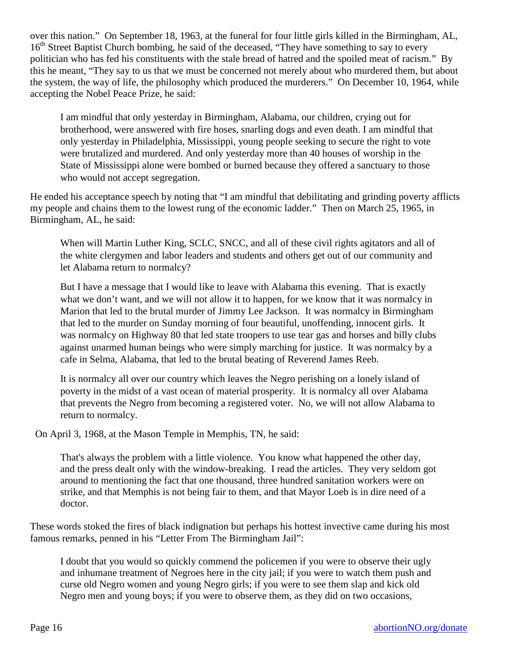over this nation." On September 18, 1963, at the funeral for four little girls killed in the Birmingham, AL, 16<sup>th</sup> Street Baptist Church bombing, he said of the deceased, "They have something to say to every politician who has fed his constituents with the stale bread of hatred and the spoiled meat of racism." By this he meant, "They say to us that we must be concerned not merely about who murdered them, but about the system, the way of life, the philosophy which produced the murderers." On December 10, 1964, while accepting the Nobel Peace Prize, he said:

I am mindful that only yesterday in Birmingham, Alabama, our children, crying out for brotherhood, were answered with fire hoses, snarling dogs and even death. I am mindful that only yesterday in Philadelphia, Mississippi, young people seeking to secure the right to vote were brutalized and murdered. And only yesterday more than 40 houses of worship in the State of Mississippi alone were bombed or burned because they offered a sanctuary to those who would not accept segregation.

He ended his acceptance speech by noting that "I am mindful that debilitating and grinding poverty afflicts my people and chains them to the lowest rung of the economic ladder." Then on March 25, 1965, in Birmingham, AL, he said:

When will Martin Luther King, SCLC, SNCC, and all of these civil rights agitators and all of the white clergymen and labor leaders and students and others get out of our community and let Alabama return to normalcy?

But I have a message that I would like to leave with Alabama this evening. That is exactly what we don't want, and we will not allow it to happen, for we know that it was normalcy in Marion that led to the brutal murder of Jimmy Lee Jackson. It was normalcy in Birmingham that led to the murder on Sunday morning of four beautiful, unoffending, innocent girls. It was normalcy on Highway 80 that led state troopers to use tear gas and horses and billy clubs against unarmed human beings who were simply marching for justice. It was normalcy by a cafe in Selma, Alabama, that led to the brutal beating of Reverend James Reeb.

It is normalcy all over our country which leaves the Negro perishing on a lonely island of poverty in the midst of a vast ocean of material prosperity. It is normalcy all over Alabama that prevents the Negro from becoming a registered voter. No, we will not allow Alabama to return to normalcy.

On April 3, 1968, at the Mason Temple in Memphis, TN, he said:

That's always the problem with a little violence. You know what happened the other day, and the press dealt only with the window-breaking. I read the articles. They very seldom got around to mentioning the fact that one thousand, three hundred sanitation workers were on strike, and that Memphis is not being fair to them, and that Mayor Loeb is in dire need of a doctor.

These words stoked the fires of black indignation but perhaps his hottest invective came during his most famous remarks, penned in his "Letter From The Birmingham Jail":

I doubt that you would so quickly commend the policemen if you were to observe their ugly and inhumane treatment of Negroes here in the city jail; if you were to watch them push and curse old Negro women and young Negro girls; if you were to see them slap and kick old Negro men and young boys; if you were to observe them, as they did on two occasions,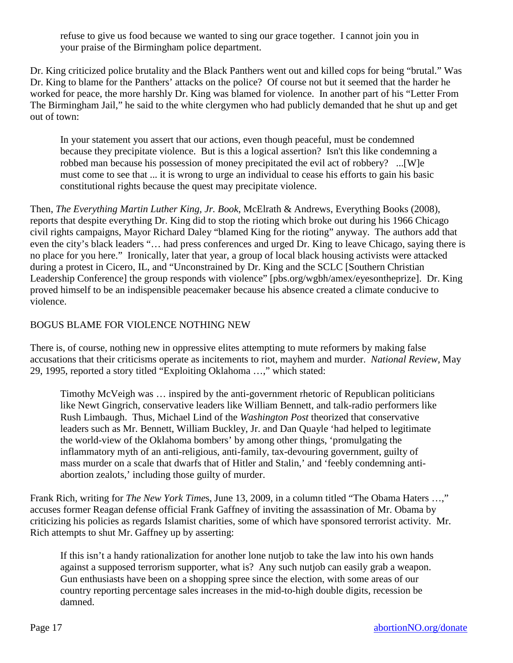refuse to give us food because we wanted to sing our grace together. I cannot join you in your praise of the Birmingham police department.

Dr. King criticized police brutality and the Black Panthers went out and killed cops for being "brutal." Was Dr. King to blame for the Panthers' attacks on the police? Of course not but it seemed that the harder he worked for peace, the more harshly Dr. King was blamed for violence. In another part of his "Letter From The Birmingham Jail," he said to the white clergymen who had publicly demanded that he shut up and get out of town:

In your statement you assert that our actions, even though peaceful, must be condemned because they precipitate violence. But is this a logical assertion? Isn't this like condemning a robbed man because his possession of money precipitated the evil act of robbery? ...[W]e must come to see that ... it is wrong to urge an individual to cease his efforts to gain his basic constitutional rights because the quest may precipitate violence.

Then, *The Everything Martin Luther King, Jr. Book*, McElrath & Andrews, Everything Books (2008), reports that despite everything Dr. King did to stop the rioting which broke out during his 1966 Chicago civil rights campaigns, Mayor Richard Daley "blamed King for the rioting" anyway. The authors add that even the city's black leaders "… had press conferences and urged Dr. King to leave Chicago, saying there is no place for you here." Ironically, later that year, a group of local black housing activists were attacked during a protest in Cicero, IL, and "Unconstrained by Dr. King and the SCLC [Southern Christian Leadership Conference] the group responds with violence" [pbs.org/wgbh/amex/eyesontheprize]. Dr. King proved himself to be an indispensible peacemaker because his absence created a climate conducive to violence.

## BOGUS BLAME FOR VIOLENCE NOTHING NEW

There is, of course, nothing new in oppressive elites attempting to mute reformers by making false accusations that their criticisms operate as incitements to riot, mayhem and murder. *National Review*, May 29, 1995, reported a story titled "Exploiting Oklahoma …," which stated:

Timothy McVeigh was … inspired by the anti-government rhetoric of Republican politicians like Newt Gingrich, conservative leaders like William Bennett, and talk-radio performers like Rush Limbaugh. Thus, Michael Lind of the *Washington Post* theorized that conservative leaders such as Mr. Bennett, William Buckley, Jr. and Dan Quayle 'had helped to legitimate the world-view of the Oklahoma bombers' by among other things, 'promulgating the inflammatory myth of an anti-religious, anti-family, tax-devouring government, guilty of mass murder on a scale that dwarfs that of Hitler and Stalin,' and 'feebly condemning antiabortion zealots,' including those guilty of murder.

Frank Rich, writing for *The New York Time*s, June 13, 2009, in a column titled "The Obama Haters …," accuses former Reagan defense official Frank Gaffney of inviting the assassination of Mr. Obama by criticizing his policies as regards Islamist charities, some of which have sponsored terrorist activity. Mr. Rich attempts to shut Mr. Gaffney up by asserting:

If this isn't a handy rationalization for another lone nutjob to take the law into his own hands against a supposed terrorism supporter, what is? Any such nutjob can easily grab a weapon. Gun enthusiasts have been on a shopping spree since the election, with some areas of our country reporting percentage sales increases in the mid-to-high double digits, recession be damned.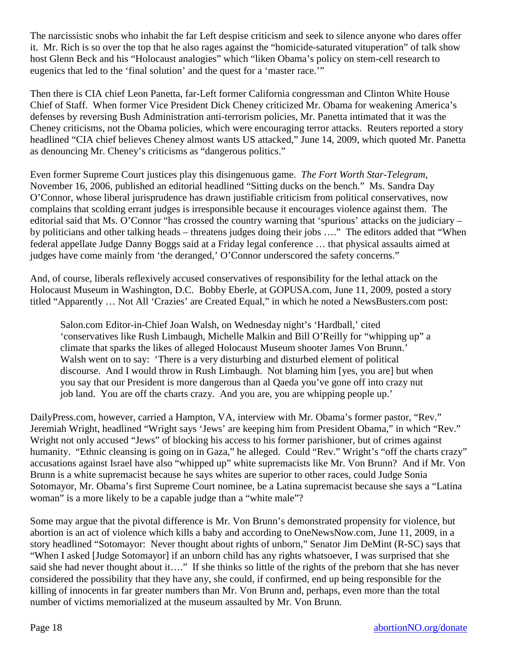The narcissistic snobs who inhabit the far Left despise criticism and seek to silence anyone who dares offer it. Mr. Rich is so over the top that he also rages against the "homicide-saturated vituperation" of talk show host Glenn Beck and his "Holocaust analogies" which "liken Obama's policy on stem-cell research to eugenics that led to the 'final solution' and the quest for a 'master race.'"

Then there is CIA chief Leon Panetta, far-Left former California congressman and Clinton White House Chief of Staff. When former Vice President Dick Cheney criticized Mr. Obama for weakening America's defenses by reversing Bush Administration anti-terrorism policies, Mr. Panetta intimated that it was the Cheney criticisms, not the Obama policies, which were encouraging terror attacks. Reuters reported a story headlined "CIA chief believes Cheney almost wants US attacked," June 14, 2009, which quoted Mr. Panetta as denouncing Mr. Cheney's criticisms as "dangerous politics."

Even former Supreme Court justices play this disingenuous game. *The Fort Worth Star-Telegram*, November 16, 2006, published an editorial headlined "Sitting ducks on the bench." Ms. Sandra Day O'Connor, whose liberal jurisprudence has drawn justifiable criticism from political conservatives, now complains that scolding errant judges is irresponsible because it encourages violence against them. The editorial said that Ms. O'Connor "has crossed the country warning that 'spurious' attacks on the judiciary – by politicians and other talking heads – threatens judges doing their jobs …." The editors added that "When federal appellate Judge Danny Boggs said at a Friday legal conference … that physical assaults aimed at judges have come mainly from 'the deranged,' O'Connor underscored the safety concerns."

And, of course, liberals reflexively accused conservatives of responsibility for the lethal attack on the Holocaust Museum in Washington, D.C. Bobby Eberle, at GOPUSA.com, June 11, 2009, posted a story titled "Apparently … Not All 'Crazies' are Created Equal," in which he noted a NewsBusters.com post:

Salon.com Editor-in-Chief Joan Walsh, on Wednesday night's 'Hardball,' cited 'conservatives like Rush Limbaugh, Michelle Malkin and Bill O'Reilly for "whipping up" a climate that sparks the likes of alleged Holocaust Museum shooter James Von Brunn.' Walsh went on to say: 'There is a very disturbing and disturbed element of political discourse. And I would throw in Rush Limbaugh. Not blaming him [yes, you are] but when you say that our President is more dangerous than al Qaeda you've gone off into crazy nut job land. You are off the charts crazy. And you are, you are whipping people up.'

DailyPress.com, however, carried a Hampton, VA, interview with Mr. Obama's former pastor, "Rev." Jeremiah Wright, headlined "Wright says 'Jews' are keeping him from President Obama," in which "Rev." Wright not only accused "Jews" of blocking his access to his former parishioner, but of crimes against humanity. "Ethnic cleansing is going on in Gaza," he alleged. Could "Rev." Wright's "off the charts crazy" accusations against Israel have also "whipped up" white supremacists like Mr. Von Brunn? And if Mr. Von Brunn is a white supremacist because he says whites are superior to other races, could Judge Sonia Sotomayor, Mr. Obama's first Supreme Court nominee, be a Latina supremacist because she says a "Latina woman" is a more likely to be a capable judge than a "white male"?

Some may argue that the pivotal difference is Mr. Von Brunn's demonstrated propensity for violence, but abortion is an act of violence which kills a baby and according to OneNewsNow.com, June 11, 2009, in a story headlined "Sotomayor: Never thought about rights of unborn," Senator Jim DeMint (R-SC) says that "When I asked [Judge Sotomayor] if an unborn child has any rights whatsoever, I was surprised that she said she had never thought about it…." If she thinks so little of the rights of the preborn that she has never considered the possibility that they have any, she could, if confirmed, end up being responsible for the killing of innocents in far greater numbers than Mr. Von Brunn and, perhaps, even more than the total number of victims memorialized at the museum assaulted by Mr. Von Brunn.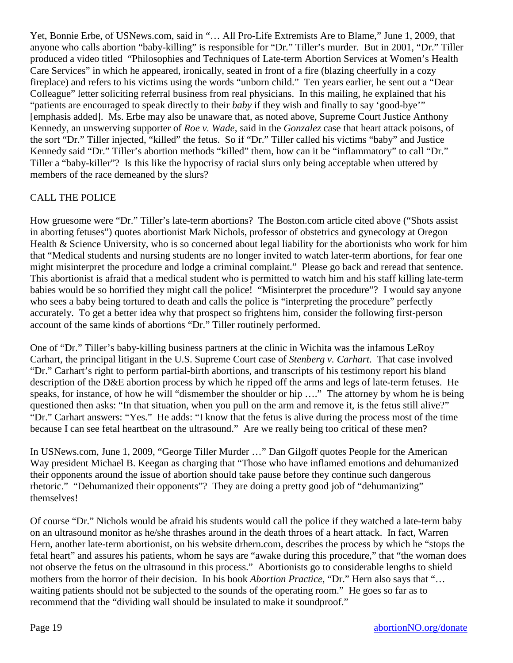Yet, Bonnie Erbe, of USNews.com, said in "… All Pro-Life Extremists Are to Blame," June 1, 2009, that anyone who calls abortion "baby-killing" is responsible for "Dr." Tiller's murder. But in 2001, "Dr." Tiller produced a video titled "Philosophies and Techniques of Late-term Abortion Services at Women's Health Care Services" in which he appeared, ironically, seated in front of a fire (blazing cheerfully in a cozy fireplace) and refers to his victims using the words "unborn child." Ten years earlier, he sent out a "Dear Colleague" letter soliciting referral business from real physicians. In this mailing, he explained that his "patients are encouraged to speak directly to their *baby* if they wish and finally to say 'good-bye'" [emphasis added]. Ms. Erbe may also be unaware that, as noted above, Supreme Court Justice Anthony Kennedy, an unswerving supporter of *Roe v. Wade*, said in the *Gonzalez* case that heart attack poisons, of the sort "Dr." Tiller injected, "killed" the fetus. So if "Dr." Tiller called his victims "baby" and Justice Kennedy said "Dr." Tiller's abortion methods "killed" them, how can it be "inflammatory" to call "Dr." Tiller a "baby-killer"? Is this like the hypocrisy of racial slurs only being acceptable when uttered by members of the race demeaned by the slurs?

## CALL THE POLICE

How gruesome were "Dr." Tiller's late-term abortions? The Boston.com article cited above ("Shots assist in aborting fetuses") quotes abortionist Mark Nichols, professor of obstetrics and gynecology at Oregon Health & Science University, who is so concerned about legal liability for the abortionists who work for him that "Medical students and nursing students are no longer invited to watch later-term abortions, for fear one might misinterpret the procedure and lodge a criminal complaint." Please go back and reread that sentence. This abortionist is afraid that a medical student who is permitted to watch him and his staff killing late-term babies would be so horrified they might call the police! "Misinterpret the procedure"? I would say anyone who sees a baby being tortured to death and calls the police is "interpreting the procedure" perfectly accurately. To get a better idea why that prospect so frightens him, consider the following first-person account of the same kinds of abortions "Dr." Tiller routinely performed.

One of "Dr." Tiller's baby-killing business partners at the clinic in Wichita was the infamous LeRoy Carhart, the principal litigant in the U.S. Supreme Court case of *Stenberg v. Carhart*. That case involved "Dr." Carhart's right to perform partial-birth abortions, and transcripts of his testimony report his bland description of the D&E abortion process by which he ripped off the arms and legs of late-term fetuses. He speaks, for instance, of how he will "dismember the shoulder or hip ...." The attorney by whom he is being questioned then asks: "In that situation, when you pull on the arm and remove it, is the fetus still alive?" "Dr." Carhart answers: "Yes." He adds: "I know that the fetus is alive during the process most of the time because I can see fetal heartbeat on the ultrasound." Are we really being too critical of these men?

In USNews.com, June 1, 2009, "George Tiller Murder …" Dan Gilgoff quotes People for the American Way president Michael B. Keegan as charging that "Those who have inflamed emotions and dehumanized their opponents around the issue of abortion should take pause before they continue such dangerous rhetoric." "Dehumanized their opponents"? They are doing a pretty good job of "dehumanizing" themselves!

Of course "Dr." Nichols would be afraid his students would call the police if they watched a late-term baby on an ultrasound monitor as he/she thrashes around in the death throes of a heart attack. In fact, Warren Hern, another late-term abortionist, on his website drhern.com, describes the process by which he "stops the fetal heart" and assures his patients, whom he says are "awake during this procedure," that "the woman does not observe the fetus on the ultrasound in this process." Abortionists go to considerable lengths to shield mothers from the horror of their decision. In his book *Abortion Practice*, "Dr." Hern also says that "… waiting patients should not be subjected to the sounds of the operating room." He goes so far as to recommend that the "dividing wall should be insulated to make it soundproof."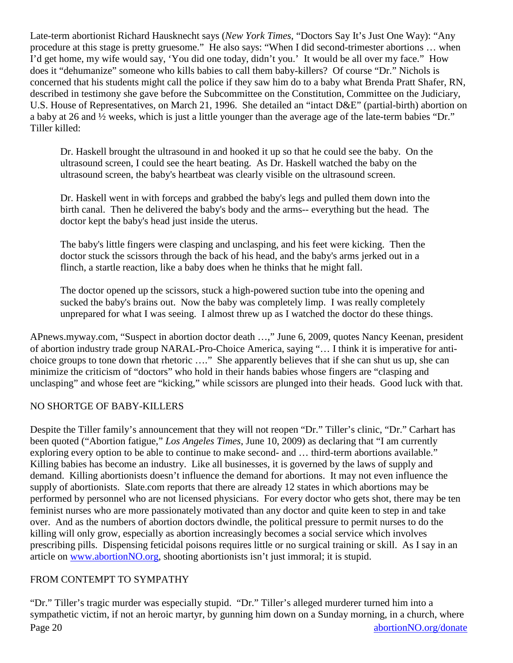Late-term abortionist Richard Hausknecht says (*New York Times*, "Doctors Say It's Just One Way): "Any procedure at this stage is pretty gruesome." He also says: "When I did second-trimester abortions … when I'd get home, my wife would say, 'You did one today, didn't you.' It would be all over my face." How does it "dehumanize" someone who kills babies to call them baby-killers? Of course "Dr." Nichols is concerned that his students might call the police if they saw him do to a baby what Brenda Pratt Shafer, RN, described in testimony she gave before the Subcommittee on the Constitution, Committee on the Judiciary, U.S. House of Representatives, on March 21, 1996. She detailed an "intact D&E" (partial-birth) abortion on a baby at 26 and ½ weeks, which is just a little younger than the average age of the late-term babies "Dr." Tiller killed:

Dr. Haskell brought the ultrasound in and hooked it up so that he could see the baby. On the ultrasound screen, I could see the heart beating. As Dr. Haskell watched the baby on the ultrasound screen, the baby's heartbeat was clearly visible on the ultrasound screen.

Dr. Haskell went in with forceps and grabbed the baby's legs and pulled them down into the birth canal. Then he delivered the baby's body and the arms-- everything but the head. The doctor kept the baby's head just inside the uterus.

The baby's little fingers were clasping and unclasping, and his feet were kicking. Then the doctor stuck the scissors through the back of his head, and the baby's arms jerked out in a flinch, a startle reaction, like a baby does when he thinks that he might fall.

The doctor opened up the scissors, stuck a high-powered suction tube into the opening and sucked the baby's brains out. Now the baby was completely limp. I was really completely unprepared for what I was seeing. I almost threw up as I watched the doctor do these things.

APnews.myway.com, "Suspect in abortion doctor death …," June 6, 2009, quotes Nancy Keenan, president of abortion industry trade group NARAL-Pro-Choice America, saying "… I think it is imperative for antichoice groups to tone down that rhetoric …." She apparently believes that if she can shut us up, she can minimize the criticism of "doctors" who hold in their hands babies whose fingers are "clasping and unclasping" and whose feet are "kicking," while scissors are plunged into their heads. Good luck with that.

## NO SHORTGE OF BABY-KILLERS

Despite the Tiller family's announcement that they will not reopen "Dr." Tiller's clinic, "Dr." Carhart has been quoted ("Abortion fatigue," *Los Angeles Times*, June 10, 2009) as declaring that "I am currently exploring every option to be able to continue to make second- and … third-term abortions available." Killing babies has become an industry. Like all businesses, it is governed by the laws of supply and demand. Killing abortionists doesn't influence the demand for abortions. It may not even influence the supply of abortionists. Slate.com reports that there are already 12 states in which abortions may be performed by personnel who are not licensed physicians. For every doctor who gets shot, there may be ten feminist nurses who are more passionately motivated than any doctor and quite keen to step in and take over. And as the numbers of abortion doctors dwindle, the political pressure to permit nurses to do the killing will only grow, especially as abortion increasingly becomes a social service which involves prescribing pills. Dispensing feticidal poisons requires little or no surgical training or skill. As I say in an article on [www.abortionNO.org,](http://www.abortionno.org/) shooting abortionists isn't just immoral; it is stupid.

#### FROM CONTEMPT TO SYMPATHY

Page 20 [abortionNO.org/donate](http://www.abortionno.org/donate) "Dr." Tiller's tragic murder was especially stupid. "Dr." Tiller's alleged murderer turned him into a sympathetic victim, if not an heroic martyr, by gunning him down on a Sunday morning, in a church, where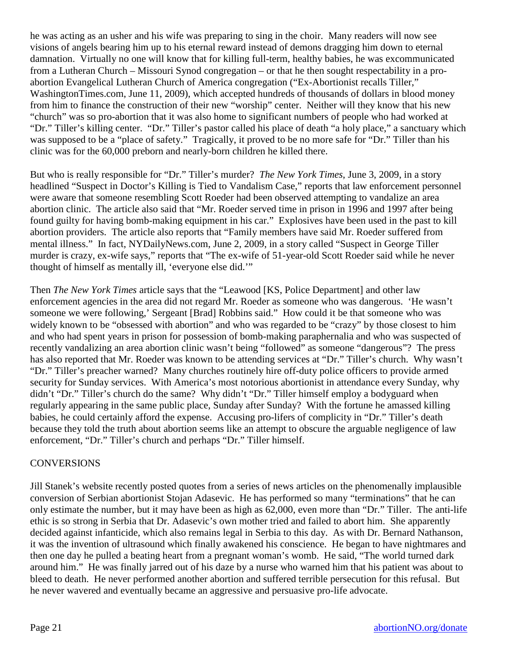he was acting as an usher and his wife was preparing to sing in the choir. Many readers will now see visions of angels bearing him up to his eternal reward instead of demons dragging him down to eternal damnation. Virtually no one will know that for killing full-term, healthy babies, he was excommunicated from a Lutheran Church – Missouri Synod congregation – or that he then sought respectability in a proabortion Evangelical Lutheran Church of America congregation ("Ex-Abortionist recalls Tiller," WashingtonTimes.com, June 11, 2009), which accepted hundreds of thousands of dollars in blood money from him to finance the construction of their new "worship" center. Neither will they know that his new "church" was so pro-abortion that it was also home to significant numbers of people who had worked at "Dr." Tiller's killing center. "Dr." Tiller's pastor called his place of death "a holy place," a sanctuary which was supposed to be a "place of safety." Tragically, it proved to be no more safe for "Dr." Tiller than his clinic was for the 60,000 preborn and nearly-born children he killed there.

But who is really responsible for "Dr." Tiller's murder? *The New York Times*, June 3, 2009, in a story headlined "Suspect in Doctor's Killing is Tied to Vandalism Case," reports that law enforcement personnel were aware that someone resembling Scott Roeder had been observed attempting to vandalize an area abortion clinic. The article also said that "Mr. Roeder served time in prison in 1996 and 1997 after being found guilty for having bomb-making equipment in his car." Explosives have been used in the past to kill abortion providers. The article also reports that "Family members have said Mr. Roeder suffered from mental illness." In fact, NYDailyNews.com, June 2, 2009, in a story called "Suspect in George Tiller murder is crazy, ex-wife says," reports that "The ex-wife of 51-year-old Scott Roeder said while he never thought of himself as mentally ill, 'everyone else did.'"

Then *The New York Times* article says that the "Leawood [KS, Police Department] and other law enforcement agencies in the area did not regard Mr. Roeder as someone who was dangerous. 'He wasn't someone we were following,' Sergeant [Brad] Robbins said." How could it be that someone who was widely known to be "obsessed with abortion" and who was regarded to be "crazy" by those closest to him and who had spent years in prison for possession of bomb-making paraphernalia and who was suspected of recently vandalizing an area abortion clinic wasn't being "followed" as someone "dangerous"? The press has also reported that Mr. Roeder was known to be attending services at "Dr." Tiller's church. Why wasn't "Dr." Tiller's preacher warned? Many churches routinely hire off-duty police officers to provide armed security for Sunday services. With America's most notorious abortionist in attendance every Sunday, why didn't "Dr." Tiller's church do the same? Why didn't "Dr." Tiller himself employ a bodyguard when regularly appearing in the same public place, Sunday after Sunday? With the fortune he amassed killing babies, he could certainly afford the expense. Accusing pro-lifers of complicity in "Dr." Tiller's death because they told the truth about abortion seems like an attempt to obscure the arguable negligence of law enforcement, "Dr." Tiller's church and perhaps "Dr." Tiller himself.

## **CONVERSIONS**

Jill Stanek's website recently posted quotes from a series of news articles on the phenomenally implausible conversion of Serbian abortionist Stojan Adasevic. He has performed so many "terminations" that he can only estimate the number, but it may have been as high as 62,000, even more than "Dr." Tiller. The anti-life ethic is so strong in Serbia that Dr. Adasevic's own mother tried and failed to abort him. She apparently decided against infanticide, which also remains legal in Serbia to this day. As with Dr. Bernard Nathanson, it was the invention of ultrasound which finally awakened his conscience. He began to have nightmares and then one day he pulled a beating heart from a pregnant woman's womb. He said, "The world turned dark around him." He was finally jarred out of his daze by a nurse who warned him that his patient was about to bleed to death. He never performed another abortion and suffered terrible persecution for this refusal. But he never wavered and eventually became an aggressive and persuasive pro-life advocate.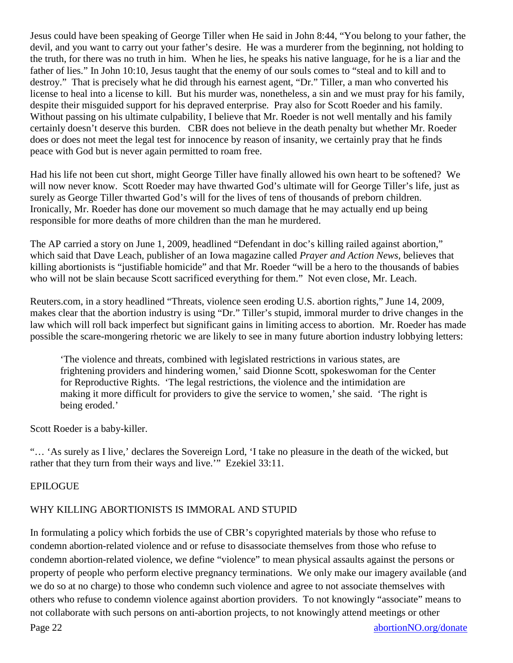Jesus could have been speaking of George Tiller when He said in John 8:44, "You belong to your father, the devil, and you want to carry out your father's desire. He was a murderer from the beginning, not holding to the truth, for there was no truth in him. When he lies, he speaks his native language, for he is a liar and the father of lies." In John 10:10, Jesus taught that the enemy of our souls comes to "steal and to kill and to destroy." That is precisely what he did through his earnest agent, "Dr." Tiller, a man who converted his license to heal into a license to kill. But his murder was, nonetheless, a sin and we must pray for his family, despite their misguided support for his depraved enterprise. Pray also for Scott Roeder and his family. Without passing on his ultimate culpability, I believe that Mr. Roeder is not well mentally and his family certainly doesn't deserve this burden. CBR does not believe in the death penalty but whether Mr. Roeder does or does not meet the legal test for innocence by reason of insanity, we certainly pray that he finds peace with God but is never again permitted to roam free.

Had his life not been cut short, might George Tiller have finally allowed his own heart to be softened? We will now never know. Scott Roeder may have thwarted God's ultimate will for George Tiller's life, just as surely as George Tiller thwarted God's will for the lives of tens of thousands of preborn children. Ironically, Mr. Roeder has done our movement so much damage that he may actually end up being responsible for more deaths of more children than the man he murdered.

The AP carried a story on June 1, 2009, headlined "Defendant in doc's killing railed against abortion," which said that Dave Leach, publisher of an Iowa magazine called *Prayer and Action News,* believes that killing abortionists is "justifiable homicide" and that Mr. Roeder "will be a hero to the thousands of babies who will not be slain because Scott sacrificed everything for them." Not even close, Mr. Leach.

Reuters.com, in a story headlined "Threats, violence seen eroding U.S. abortion rights," June 14, 2009, makes clear that the abortion industry is using "Dr." Tiller's stupid, immoral murder to drive changes in the law which will roll back imperfect but significant gains in limiting access to abortion. Mr. Roeder has made possible the scare-mongering rhetoric we are likely to see in many future abortion industry lobbying letters:

'The violence and threats, combined with legislated restrictions in various states, are frightening providers and hindering women,' said Dionne Scott, spokeswoman for the Center for Reproductive Rights. 'The legal restrictions, the violence and the intimidation are making it more difficult for providers to give the service to women,' she said. 'The right is being eroded.'

Scott Roeder is a baby-killer.

"… 'As surely as I live,' declares the Sovereign Lord, 'I take no pleasure in the death of the wicked, but rather that they turn from their ways and live.'" Ezekiel 33:11.

## EPILOGUE

## WHY KILLING ABORTIONISTS IS IMMORAL AND STUPID

In formulating a policy which forbids the use of CBR's copyrighted materials by those who refuse to condemn abortion-related violence and or refuse to disassociate themselves from those who refuse to condemn abortion-related violence, we define "violence" to mean physical assaults against the persons or property of people who perform elective pregnancy terminations. We only make our imagery available (and we do so at no charge) to those who condemn such violence and agree to not associate themselves with others who refuse to condemn violence against abortion providers. To not knowingly "associate" means to not collaborate with such persons on anti-abortion projects, to not knowingly attend meetings or other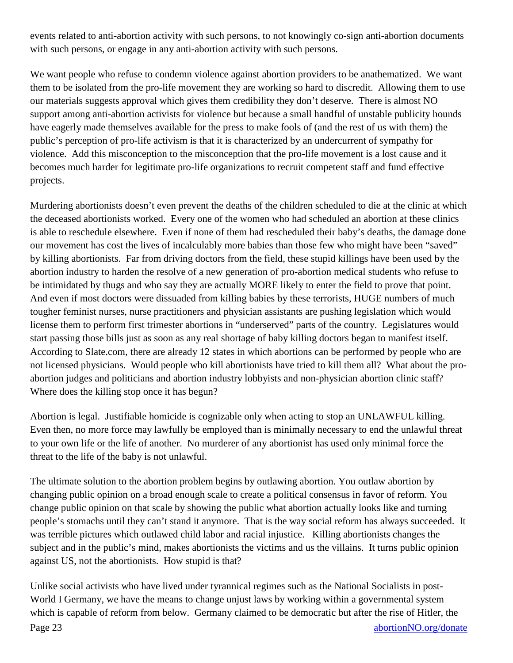events related to anti-abortion activity with such persons, to not knowingly co-sign anti-abortion documents with such persons, or engage in any anti-abortion activity with such persons.

We want people who refuse to condemn violence against abortion providers to be anathematized. We want them to be isolated from the pro-life movement they are working so hard to discredit. Allowing them to use our materials suggests approval which gives them credibility they don't deserve. There is almost NO support among anti-abortion activists for violence but because a small handful of unstable publicity hounds have eagerly made themselves available for the press to make fools of (and the rest of us with them) the public's perception of pro-life activism is that it is characterized by an undercurrent of sympathy for violence. Add this misconception to the misconception that the pro-life movement is a lost cause and it becomes much harder for legitimate pro-life organizations to recruit competent staff and fund effective projects.

Murdering abortionists doesn't even prevent the deaths of the children scheduled to die at the clinic at which the deceased abortionists worked. Every one of the women who had scheduled an abortion at these clinics is able to reschedule elsewhere. Even if none of them had rescheduled their baby's deaths, the damage done our movement has cost the lives of incalculably more babies than those few who might have been "saved" by killing abortionists. Far from driving doctors from the field, these stupid killings have been used by the abortion industry to harden the resolve of a new generation of pro-abortion medical students who refuse to be intimidated by thugs and who say they are actually MORE likely to enter the field to prove that point. And even if most doctors were dissuaded from killing babies by these terrorists, HUGE numbers of much tougher feminist nurses, nurse practitioners and physician assistants are pushing legislation which would license them to perform first trimester abortions in "underserved" parts of the country. Legislatures would start passing those bills just as soon as any real shortage of baby killing doctors began to manifest itself. According to Slate.com, there are already 12 states in which abortions can be performed by people who are not licensed physicians. Would people who kill abortionists have tried to kill them all? What about the proabortion judges and politicians and abortion industry lobbyists and non-physician abortion clinic staff? Where does the killing stop once it has begun?

Abortion is legal. Justifiable homicide is cognizable only when acting to stop an UNLAWFUL killing. Even then, no more force may lawfully be employed than is minimally necessary to end the unlawful threat to your own life or the life of another. No murderer of any abortionist has used only minimal force the threat to the life of the baby is not unlawful.

The ultimate solution to the abortion problem begins by outlawing abortion. You outlaw abortion by changing public opinion on a broad enough scale to create a political consensus in favor of reform. You change public opinion on that scale by showing the public what abortion actually looks like and turning people's stomachs until they can't stand it anymore. That is the way social reform has always succeeded. It was terrible pictures which outlawed child labor and racial injustice. Killing abortionists changes the subject and in the public's mind, makes abortionists the victims and us the villains. It turns public opinion against US, not the abortionists. How stupid is that?

Unlike social activists who have lived under tyrannical regimes such as the National Socialists in post-World I Germany, we have the means to change unjust laws by working within a governmental system which is capable of reform from below. Germany claimed to be democratic but after the rise of Hitler, the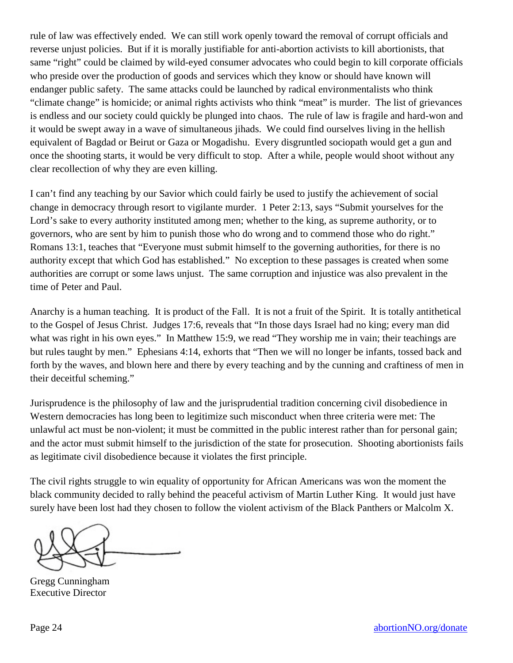rule of law was effectively ended. We can still work openly toward the removal of corrupt officials and reverse unjust policies. But if it is morally justifiable for anti-abortion activists to kill abortionists, that same "right" could be claimed by wild-eyed consumer advocates who could begin to kill corporate officials who preside over the production of goods and services which they know or should have known will endanger public safety. The same attacks could be launched by radical environmentalists who think "climate change" is homicide; or animal rights activists who think "meat" is murder. The list of grievances is endless and our society could quickly be plunged into chaos. The rule of law is fragile and hard-won and it would be swept away in a wave of simultaneous jihads. We could find ourselves living in the hellish equivalent of Bagdad or Beirut or Gaza or Mogadishu. Every disgruntled sociopath would get a gun and once the shooting starts, it would be very difficult to stop. After a while, people would shoot without any clear recollection of why they are even killing.

I can't find any teaching by our Savior which could fairly be used to justify the achievement of social change in democracy through resort to vigilante murder. 1 Peter 2:13, says "Submit yourselves for the Lord's sake to every authority instituted among men; whether to the king, as supreme authority, or to governors, who are sent by him to punish those who do wrong and to commend those who do right." Romans 13:1, teaches that "Everyone must submit himself to the governing authorities, for there is no authority except that which God has established." No exception to these passages is created when some authorities are corrupt or some laws unjust. The same corruption and injustice was also prevalent in the time of Peter and Paul.

Anarchy is a human teaching. It is product of the Fall. It is not a fruit of the Spirit. It is totally antithetical to the Gospel of Jesus Christ. Judges 17:6, reveals that "In those days Israel had no king; every man did what was right in his own eyes." In Matthew 15:9, we read "They worship me in vain; their teachings are but rules taught by men." Ephesians 4:14, exhorts that "Then we will no longer be infants, tossed back and forth by the waves, and blown here and there by every teaching and by the cunning and craftiness of men in their deceitful scheming."

Jurisprudence is the philosophy of law and the jurisprudential tradition concerning civil disobedience in Western democracies has long been to legitimize such misconduct when three criteria were met: The unlawful act must be non-violent; it must be committed in the public interest rather than for personal gain; and the actor must submit himself to the jurisdiction of the state for prosecution. Shooting abortionists fails as legitimate civil disobedience because it violates the first principle.

The civil rights struggle to win equality of opportunity for African Americans was won the moment the black community decided to rally behind the peaceful activism of Martin Luther King. It would just have surely have been lost had they chosen to follow the violent activism of the Black Panthers or Malcolm X.

Gregg Cunningham Executive Director